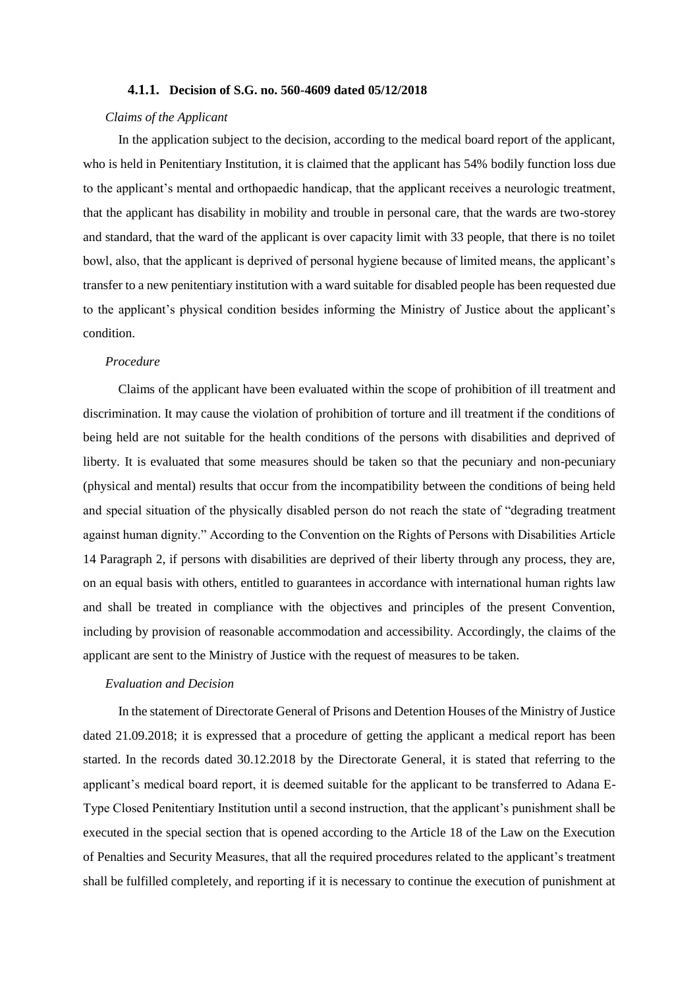## **4.1.1. Decision of S.G. no. 560-4609 dated 05/12/2018**

## *Claims of the Applicant*

In the application subject to the decision, according to the medical board report of the applicant, who is held in Penitentiary Institution, it is claimed that the applicant has 54% bodily function loss due to the applicant's mental and orthopaedic handicap, that the applicant receives a neurologic treatment, that the applicant has disability in mobility and trouble in personal care, that the wards are two-storey and standard, that the ward of the applicant is over capacity limit with 33 people, that there is no toilet bowl, also, that the applicant is deprived of personal hygiene because of limited means, the applicant's transfer to a new penitentiary institution with a ward suitable for disabled people has been requested due to the applicant's physical condition besides informing the Ministry of Justice about the applicant's condition.

## *Procedure*

Claims of the applicant have been evaluated within the scope of prohibition of ill treatment and discrimination. It may cause the violation of prohibition of torture and ill treatment if the conditions of being held are not suitable for the health conditions of the persons with disabilities and deprived of liberty. It is evaluated that some measures should be taken so that the pecuniary and non-pecuniary (physical and mental) results that occur from the incompatibility between the conditions of being held and special situation of the physically disabled person do not reach the state of "degrading treatment against human dignity." According to the Convention on the Rights of Persons with Disabilities Article 14 Paragraph 2, if persons with disabilities are deprived of their liberty through any process, they are, on an equal basis with others, entitled to guarantees in accordance with international human rights law and shall be treated in compliance with the objectives and principles of the present Convention, including by provision of reasonable accommodation and accessibility. Accordingly, the claims of the applicant are sent to the Ministry of Justice with the request of measures to be taken.

## *Evaluation and Decision*

In the statement of Directorate General of Prisons and Detention Houses of the Ministry of Justice dated 21.09.2018; it is expressed that a procedure of getting the applicant a medical report has been started. In the records dated 30.12.2018 by the Directorate General, it is stated that referring to the applicant's medical board report, it is deemed suitable for the applicant to be transferred to Adana E-Type Closed Penitentiary Institution until a second instruction, that the applicant's punishment shall be executed in the special section that is opened according to the Article 18 of the Law on the Execution of Penalties and Security Measures, that all the required procedures related to the applicant's treatment shall be fulfilled completely, and reporting if it is necessary to continue the execution of punishment at